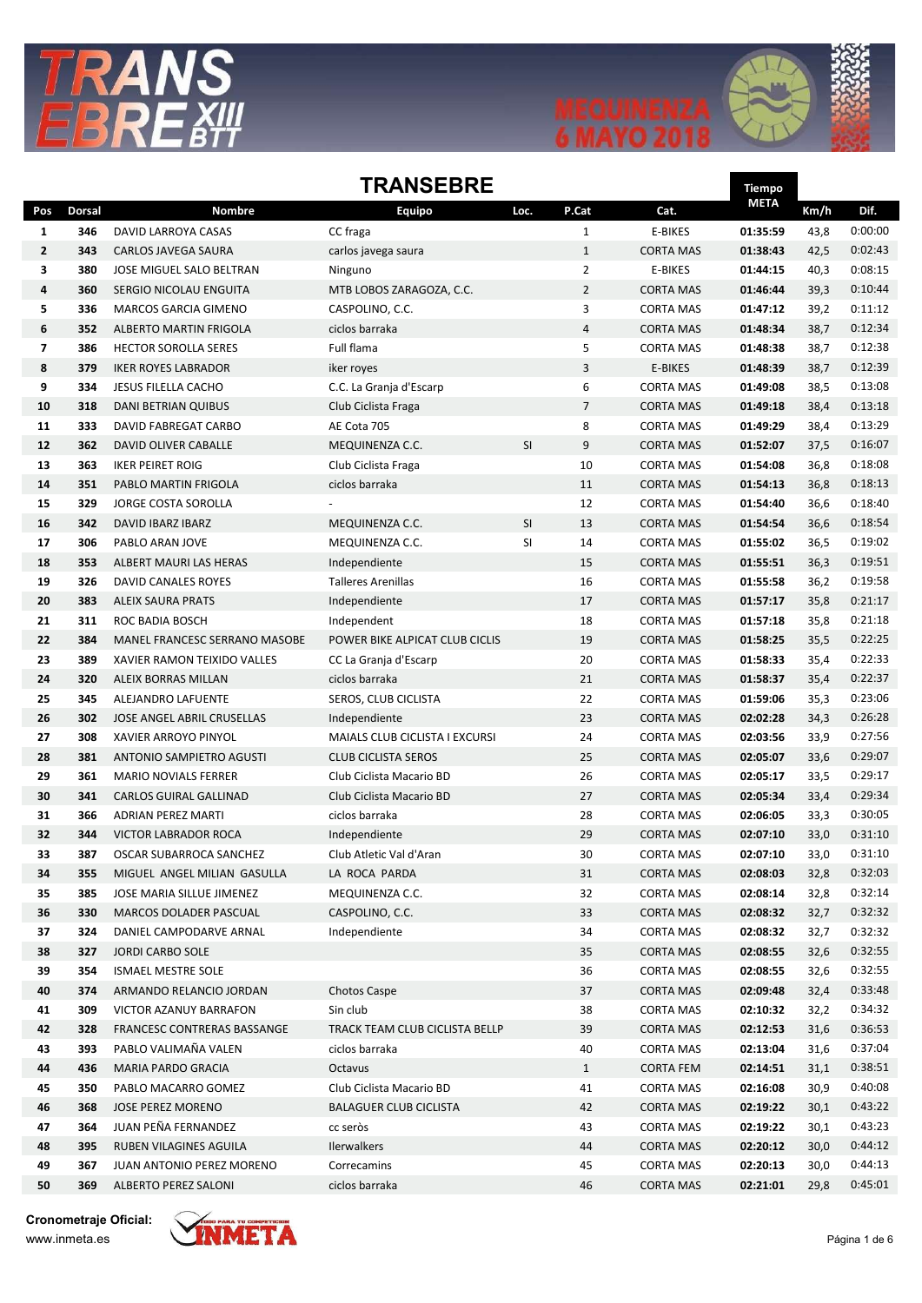





## **TRANSFRRF**

|                         | IKANSEBRE     |                               |                                |           |                |                  |             |      |         |
|-------------------------|---------------|-------------------------------|--------------------------------|-----------|----------------|------------------|-------------|------|---------|
| Pos                     | <b>Dorsal</b> | <b>Nombre</b>                 | Equipo                         | Loc.      | P.Cat          | Cat.             | <b>META</b> | Km/h | Dif.    |
| 1                       | 346           | DAVID LARROYA CASAS           | CC fraga                       |           | $\mathbf{1}$   | E-BIKES          | 01:35:59    | 43,8 | 0:00:00 |
| $\overline{2}$          | 343           | CARLOS JAVEGA SAURA           | carlos javega saura            |           | $\mathbf{1}$   | <b>CORTA MAS</b> | 01:38:43    | 42,5 | 0:02:43 |
| 3                       | 380           | JOSE MIGUEL SALO BELTRAN      | Ninguno                        |           | $\overline{2}$ | E-BIKES          | 01:44:15    | 40,3 | 0:08:15 |
| 4                       | 360           | SERGIO NICOLAU ENGUITA        | MTB LOBOS ZARAGOZA, C.C.       |           | $\overline{2}$ | <b>CORTA MAS</b> | 01:46:44    | 39,3 | 0:10:44 |
| 5                       | 336           | MARCOS GARCIA GIMENO          | CASPOLINO, C.C.                |           | 3              | <b>CORTA MAS</b> | 01:47:12    | 39,2 | 0:11:12 |
| 6                       | 352           | ALBERTO MARTIN FRIGOLA        | ciclos barraka                 |           | $\overline{4}$ | <b>CORTA MAS</b> | 01:48:34    | 38,7 | 0:12:34 |
| $\overline{\mathbf{z}}$ | 386           | <b>HECTOR SOROLLA SERES</b>   | Full flama                     |           | 5              | <b>CORTA MAS</b> | 01:48:38    | 38,7 | 0:12:38 |
| 8                       | 379           | <b>IKER ROYES LABRADOR</b>    | iker royes                     |           | 3              | E-BIKES          | 01:48:39    | 38,7 | 0:12:39 |
| 9                       | 334           | JESUS FILELLA CACHO           | C.C. La Granja d'Escarp        |           | 6              | <b>CORTA MAS</b> | 01:49:08    | 38,5 | 0:13:08 |
| 10                      | 318           | DANI BETRIAN QUIBUS           | Club Ciclista Fraga            |           | $\overline{7}$ | <b>CORTA MAS</b> | 01:49:18    | 38,4 | 0:13:18 |
| 11                      | 333           | DAVID FABREGAT CARBO          | AE Cota 705                    |           | 8              | <b>CORTA MAS</b> | 01:49:29    | 38,4 | 0:13:29 |
| 12                      | 362           | DAVID OLIVER CABALLE          | MEQUINENZA C.C.                | SI        | 9              | <b>CORTA MAS</b> | 01:52:07    | 37,5 | 0:16:07 |
| 13                      | 363           | <b>IKER PEIRET ROIG</b>       | Club Ciclista Fraga            |           | 10             | <b>CORTA MAS</b> | 01:54:08    | 36,8 | 0:18:08 |
| 14                      | 351           | PABLO MARTIN FRIGOLA          | ciclos barraka                 |           | 11             | <b>CORTA MAS</b> | 01:54:13    | 36,8 | 0:18:13 |
| 15                      | 329           | <b>JORGE COSTA SOROLLA</b>    |                                |           | 12             | <b>CORTA MAS</b> | 01:54:40    | 36,6 | 0:18:40 |
| 16                      | 342           | DAVID IBARZ IBARZ             | MEQUINENZA C.C.                | <b>SI</b> | 13             | <b>CORTA MAS</b> | 01:54:54    | 36,6 | 0:18:54 |
| 17                      | 306           | PABLO ARAN JOVE               | MEQUINENZA C.C.                | SI        | 14             | <b>CORTA MAS</b> | 01:55:02    | 36,5 | 0:19:02 |
| 18                      | 353           | ALBERT MAURI LAS HERAS        | Independiente                  |           | 15             | <b>CORTA MAS</b> | 01:55:51    | 36,3 | 0:19:51 |
| 19                      | 326           | DAVID CANALES ROYES           | <b>Talleres Arenillas</b>      |           | 16             | <b>CORTA MAS</b> | 01:55:58    | 36,2 | 0:19:58 |
| 20                      | 383           | <b>ALEIX SAURA PRATS</b>      | Independiente                  |           | 17             | <b>CORTA MAS</b> | 01:57:17    | 35,8 | 0:21:17 |
| 21                      | 311           | ROC BADIA BOSCH               | Independent                    |           | 18             | <b>CORTA MAS</b> | 01:57:18    | 35,8 | 0:21:18 |
| 22                      | 384           | MANEL FRANCESC SERRANO MASOBE | POWER BIKE ALPICAT CLUB CICLIS |           | 19             | <b>CORTA MAS</b> | 01:58:25    | 35,5 | 0:22:25 |
| 23                      | 389           | XAVIER RAMON TEIXIDO VALLES   | CC La Granja d'Escarp          |           | 20             | <b>CORTA MAS</b> | 01:58:33    | 35,4 | 0:22:33 |
| 24                      | 320           | ALEIX BORRAS MILLAN           | ciclos barraka                 |           | 21             | <b>CORTA MAS</b> | 01:58:37    | 35,4 | 0:22:37 |
| 25                      | 345           | ALEJANDRO LAFUENTE            | SEROS, CLUB CICLISTA           |           | 22             | <b>CORTA MAS</b> | 01:59:06    | 35,3 | 0:23:06 |
| 26                      | 302           | JOSE ANGEL ABRIL CRUSELLAS    | Independiente                  |           | 23             | <b>CORTA MAS</b> | 02:02:28    | 34,3 | 0:26:28 |
| 27                      | 308           | XAVIER ARROYO PINYOL          | MAIALS CLUB CICLISTA I EXCURSI |           | 24             | <b>CORTA MAS</b> | 02:03:56    | 33,9 | 0:27:56 |
| 28                      | 381           | ANTONIO SAMPIETRO AGUSTI      | <b>CLUB CICLISTA SEROS</b>     |           | 25             | <b>CORTA MAS</b> | 02:05:07    | 33,6 | 0:29:07 |
| 29                      | 361           | <b>MARIO NOVIALS FERRER</b>   | Club Ciclista Macario BD       |           | 26             | <b>CORTA MAS</b> | 02:05:17    | 33,5 | 0:29:17 |
| 30                      | 341           | CARLOS GUIRAL GALLINAD        | Club Ciclista Macario BD       |           | 27             | <b>CORTA MAS</b> | 02:05:34    | 33,4 | 0:29:34 |
| 31                      | 366           | <b>ADRIAN PEREZ MARTI</b>     | ciclos barraka                 |           | 28             | <b>CORTA MAS</b> | 02:06:05    | 33,3 | 0:30:05 |
| 32                      | 344           | VICTOR LABRADOR ROCA          | Independiente                  |           | 29             | <b>CORTA MAS</b> | 02:07:10    | 33,0 | 0:31:10 |
| 33                      | 387           | OSCAR SUBARROCA SANCHEZ       | Club Atletic Val d'Aran        |           | 30             | <b>CORTA MAS</b> | 02:07:10    | 33,0 | 0:31:10 |
| 34                      | 355           | MIGUEL ANGEL MILIAN GASULLA   | LA ROCA PARDA                  |           | 31             | <b>CORTA MAS</b> | 02:08:03    | 32,8 | 0:32:03 |
| 35                      | 385           | JOSE MARIA SILLUE JIMENEZ     | MEQUINENZA C.C.                |           | 32             | <b>CORTA MAS</b> | 02:08:14    | 32,8 | 0:32:14 |
| 36                      | 330           | MARCOS DOLADER PASCUAL        | CASPOLINO, C.C.                |           | 33             | <b>CORTA MAS</b> | 02:08:32    | 32,7 | 0:32:32 |
| 37                      | 324           | DANIEL CAMPODARVE ARNAL       | Independiente                  |           | 34             | <b>CORTA MAS</b> | 02:08:32    | 32,7 | 0:32:32 |
| 38                      | 327           | <b>JORDI CARBO SOLE</b>       |                                |           | 35             | <b>CORTA MAS</b> | 02:08:55    | 32,6 | 0:32:55 |
| 39                      | 354           | <b>ISMAEL MESTRE SOLE</b>     |                                |           | 36             | <b>CORTA MAS</b> | 02:08:55    | 32,6 | 0:32:55 |
| 40                      | 374           | ARMANDO RELANCIO JORDAN       | <b>Chotos Caspe</b>            |           | 37             | <b>CORTA MAS</b> | 02:09:48    | 32,4 | 0:33:48 |
| 41                      | 309           | VICTOR AZANUY BARRAFON        | Sin club                       |           | 38             | <b>CORTA MAS</b> | 02:10:32    | 32,2 | 0:34:32 |
| 42                      | 328           | FRANCESC CONTRERAS BASSANGE   | TRACK TEAM CLUB CICLISTA BELLP |           | 39             | <b>CORTA MAS</b> | 02:12:53    | 31,6 | 0:36:53 |
| 43                      | 393           | PABLO VALIMAÑA VALEN          | ciclos barraka                 |           | 40             | <b>CORTA MAS</b> | 02:13:04    | 31,6 | 0:37:04 |
| 44                      | 436           | MARIA PARDO GRACIA            | Octavus                        |           | $\mathbf{1}$   | <b>CORTA FEM</b> | 02:14:51    | 31,1 | 0:38:51 |
| 45                      | 350           | PABLO MACARRO GOMEZ           | Club Ciclista Macario BD       |           | 41             | <b>CORTA MAS</b> | 02:16:08    | 30,9 | 0:40:08 |
| 46                      | 368           | <b>JOSE PEREZ MORENO</b>      | <b>BALAGUER CLUB CICLISTA</b>  |           | 42             | <b>CORTA MAS</b> | 02:19:22    | 30,1 | 0:43:22 |
| 47                      | 364           | JUAN PEÑA FERNANDEZ           | cc seròs                       |           | 43             | <b>CORTA MAS</b> | 02:19:22    | 30,1 | 0:43:23 |
| 48                      | 395           | RUBEN VILAGINES AGUILA        | <b>Ilerwalkers</b>             |           | 44             | <b>CORTA MAS</b> | 02:20:12    | 30,0 | 0:44:12 |
| 49                      | 367           | JUAN ANTONIO PEREZ MORENO     | Correcamins                    |           | 45             | <b>CORTA MAS</b> | 02:20:13    | 30,0 | 0:44:13 |
| 50                      | 369           | ALBERTO PEREZ SALONI          | ciclos barraka                 |           | 46             | <b>CORTA MAS</b> | 02:21:01    | 29,8 | 0:45:01 |

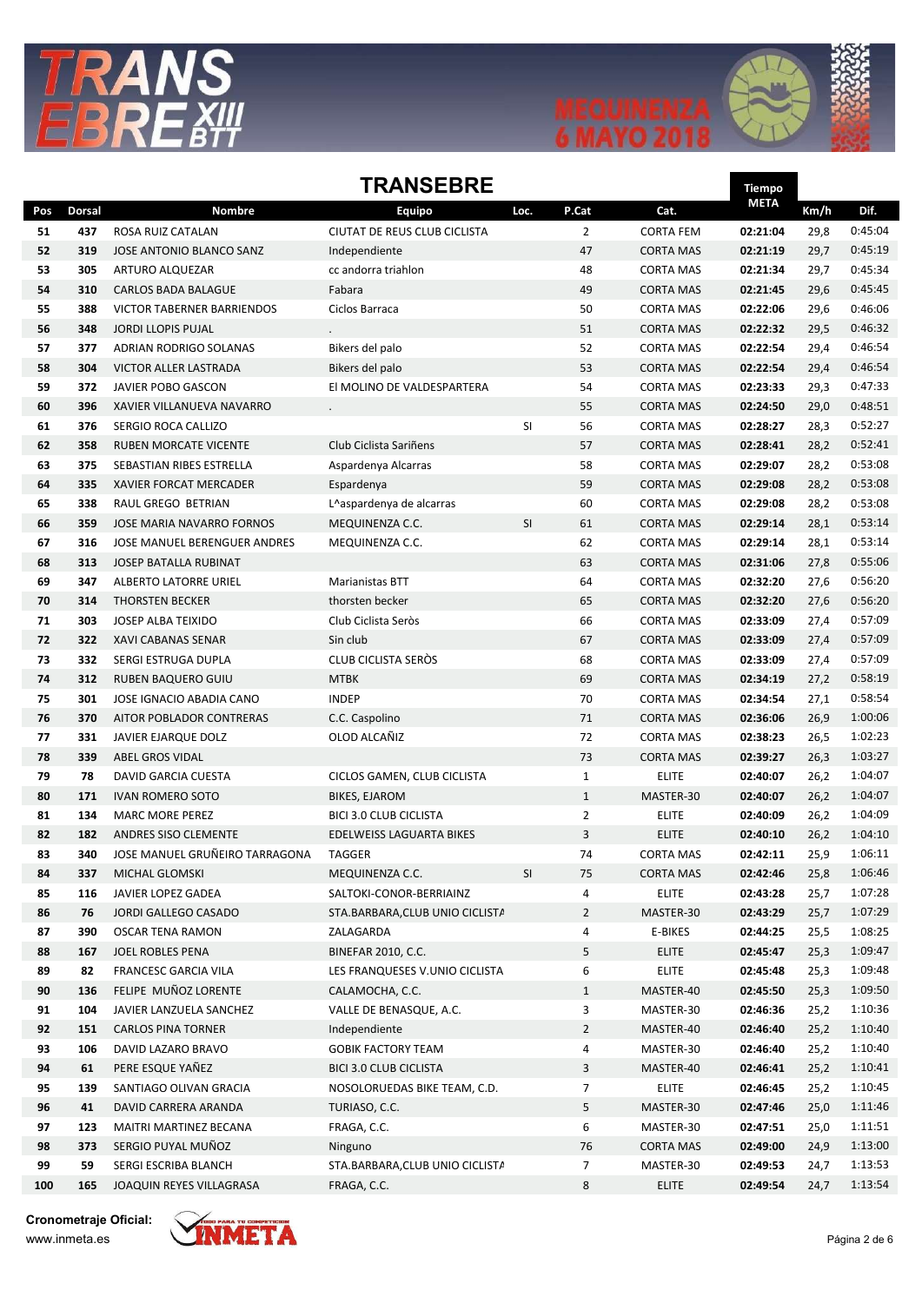





#### **TRANSFRRF**

|     | IKANSEBRE     |                                |                                 |      |                |                  |             |      |                    |
|-----|---------------|--------------------------------|---------------------------------|------|----------------|------------------|-------------|------|--------------------|
| Pos | <b>Dorsal</b> | Nombre                         | <b>Equipo</b>                   | Loc. | P.Cat          | Cat.             | <b>META</b> | Km/h | Dif.               |
| 51  | 437           | ROSA RUIZ CATALAN              | CIUTAT DE REUS CLUB CICLISTA    |      | $\overline{2}$ | <b>CORTA FEM</b> | 02:21:04    | 29,8 | 0:45:04            |
| 52  | 319           | JOSE ANTONIO BLANCO SANZ       | Independiente                   |      | 47             | <b>CORTA MAS</b> | 02:21:19    | 29,7 | 0:45:19            |
| 53  | 305           | ARTURO ALQUEZAR                | cc andorra triahlon             |      | 48             | <b>CORTA MAS</b> | 02:21:34    | 29,7 | 0:45:34            |
| 54  | 310           | <b>CARLOS BADA BALAGUE</b>     | Fabara                          |      | 49             | <b>CORTA MAS</b> | 02:21:45    | 29,6 | 0:45:45            |
| 55  | 388           | VICTOR TABERNER BARRIENDOS     | Ciclos Barraca                  |      | 50             | <b>CORTA MAS</b> | 02:22:06    | 29,6 | 0:46:06            |
| 56  | 348           | <b>JORDI LLOPIS PUJAL</b>      |                                 |      | 51             | <b>CORTA MAS</b> | 02:22:32    | 29,5 | 0:46:32            |
| 57  | 377           | ADRIAN RODRIGO SOLANAS         | Bikers del palo                 |      | 52             | <b>CORTA MAS</b> | 02:22:54    | 29,4 | 0:46:54            |
| 58  | 304           | <b>VICTOR ALLER LASTRADA</b>   | Bikers del palo                 |      | 53             | <b>CORTA MAS</b> | 02:22:54    | 29,4 | 0:46:54            |
| 59  | 372           | JAVIER POBO GASCON             | El MOLINO DE VALDESPARTERA      |      | 54             | <b>CORTA MAS</b> | 02:23:33    | 29,3 | 0:47:33            |
| 60  | 396           | XAVIER VILLANUEVA NAVARRO      |                                 |      | 55             | <b>CORTA MAS</b> | 02:24:50    | 29,0 | 0:48:51            |
| 61  | 376           | SERGIO ROCA CALLIZO            |                                 | SI   | 56             | <b>CORTA MAS</b> | 02:28:27    | 28,3 | 0:52:27            |
| 62  | 358           | RUBEN MORCATE VICENTE          | Club Ciclista Sariñens          |      | 57             | <b>CORTA MAS</b> | 02:28:41    | 28,2 | 0:52:41            |
| 63  | 375           | SEBASTIAN RIBES ESTRELLA       | Aspardenya Alcarras             |      | 58             | <b>CORTA MAS</b> | 02:29:07    | 28,2 | 0:53:08            |
| 64  | 335           | XAVIER FORCAT MERCADER         | Espardenya                      |      | 59             | <b>CORTA MAS</b> | 02:29:08    | 28,2 | 0:53:08            |
| 65  | 338           | RAUL GREGO BETRIAN             | L^aspardenya de alcarras        |      | 60             | <b>CORTA MAS</b> | 02:29:08    | 28,2 | 0:53:08            |
| 66  | 359           | JOSE MARIA NAVARRO FORNOS      | MEQUINENZA C.C.                 | SI   | 61             | <b>CORTA MAS</b> | 02:29:14    | 28,1 | 0:53:14            |
| 67  | 316           | JOSE MANUEL BERENGUER ANDRES   | MEQUINENZA C.C.                 |      | 62             | <b>CORTA MAS</b> | 02:29:14    | 28,1 | 0:53:14            |
| 68  | 313           | <b>JOSEP BATALLA RUBINAT</b>   |                                 |      | 63             | <b>CORTA MAS</b> | 02:31:06    | 27,8 | 0:55:06            |
| 69  | 347           | ALBERTO LATORRE URIEL          | Marianistas BTT                 |      | 64             | <b>CORTA MAS</b> | 02:32:20    | 27,6 | 0:56:20            |
| 70  | 314           | <b>THORSTEN BECKER</b>         | thorsten becker                 |      | 65             | <b>CORTA MAS</b> | 02:32:20    | 27,6 | 0:56:20            |
| 71  | 303           | <b>JOSEP ALBA TEIXIDO</b>      | Club Ciclista Seròs             |      | 66             | <b>CORTA MAS</b> | 02:33:09    | 27,4 | 0:57:09            |
| 72  | 322           | XAVI CABANAS SENAR             | Sin club                        |      | 67             | <b>CORTA MAS</b> | 02:33:09    | 27,4 | 0:57:09            |
| 73  | 332           | SERGI ESTRUGA DUPLA            | CLUB CICLISTA SEROS             |      | 68             | <b>CORTA MAS</b> | 02:33:09    | 27,4 | 0:57:09            |
| 74  | 312           | RUBEN BAQUERO GUIU             | <b>MTBK</b>                     |      | 69             | <b>CORTA MAS</b> | 02:34:19    | 27,2 | 0:58:19            |
| 75  | 301           | JOSE IGNACIO ABADIA CANO       | <b>INDEP</b>                    |      | 70             | <b>CORTA MAS</b> | 02:34:54    | 27,1 | 0:58:54            |
| 76  | 370           | AITOR POBLADOR CONTRERAS       | C.C. Caspolino                  |      | 71             | <b>CORTA MAS</b> | 02:36:06    | 26,9 | 1:00:06            |
| 77  | 331           | JAVIER EJARQUE DOLZ            | OLOD ALCAÑIZ                    |      | 72             | <b>CORTA MAS</b> | 02:38:23    | 26,5 | 1:02:23            |
| 78  | 339           | ABEL GROS VIDAL                |                                 |      | 73             | <b>CORTA MAS</b> | 02:39:27    | 26,3 | 1:03:27            |
| 79  | 78            | DAVID GARCIA CUESTA            | CICLOS GAMEN, CLUB CICLISTA     |      | $\mathbf{1}$   | <b>ELITE</b>     | 02:40:07    | 26,2 | 1:04:07            |
| 80  | 171           | <b>IVAN ROMERO SOTO</b>        | <b>BIKES, EJAROM</b>            |      | $\mathbf{1}$   | MASTER-30        | 02:40:07    | 26,2 | 1:04:07            |
| 81  | 134           | <b>MARC MORE PEREZ</b>         | <b>BICI 3.0 CLUB CICLISTA</b>   |      | $\overline{2}$ | <b>ELITE</b>     | 02:40:09    | 26,2 | 1:04:09            |
| 82  | 182           | ANDRES SISO CLEMENTE           | EDELWEISS LAGUARTA BIKES        |      | 3              | <b>ELITE</b>     | 02:40:10    | 26,2 | 1:04:10            |
| 83  | 340           | JOSE MANUEL GRUÑEIRO TARRAGONA | <b>TAGGER</b>                   |      | 74             | <b>CORTA MAS</b> | 02:42:11    | 25,9 | 1:06:11            |
| 84  | 337           | MICHAL GLOMSKI                 | MEQUINENZA C.C.                 | SI   | 75             | <b>CORTA MAS</b> | 02:42:46    | 25,8 | 1:06:46            |
| 85  | 116           | JAVIER LOPEZ GADEA             | SALTOKI-CONOR-BERRIAINZ         |      | 4              | <b>ELITE</b>     | 02:43:28    | 25,7 | 1:07:28            |
| 86  | 76            | JORDI GALLEGO CASADO           | STA.BARBARA, CLUB UNIO CICLISTA |      | $\overline{2}$ | MASTER-30        | 02:43:29    | 25,7 | 1:07:29            |
| 87  | 390           | <b>OSCAR TENA RAMON</b>        | ZALAGARDA                       |      | 4              | E-BIKES          | 02:44:25    | 25,5 | 1:08:25            |
| 88  | 167           | JOEL ROBLES PENA               | <b>BINEFAR 2010, C.C.</b>       |      | 5              | <b>ELITE</b>     | 02:45:47    | 25,3 | 1:09:47            |
| 89  | 82            | FRANCESC GARCIA VILA           | LES FRANQUESES V.UNIO CICLISTA  |      | 6              | <b>ELITE</b>     | 02:45:48    | 25,3 | 1:09:48            |
| 90  | 136           | FELIPE MUÑOZ LORENTE           | CALAMOCHA, C.C.                 |      | $\mathbf{1}$   | MASTER-40        | 02:45:50    | 25,3 | 1:09:50            |
| 91  | 104           | JAVIER LANZUELA SANCHEZ        | VALLE DE BENASQUE, A.C.         |      | 3              | MASTER-30        | 02:46:36    | 25,2 | 1:10:36            |
| 92  | 151           | <b>CARLOS PINA TORNER</b>      | Independiente                   |      | $\overline{2}$ | MASTER-40        | 02:46:40    | 25,2 | 1:10:40            |
| 93  | 106           | DAVID LAZARO BRAVO             | <b>GOBIK FACTORY TEAM</b>       |      | 4              | MASTER-30        | 02:46:40    | 25,2 | 1:10:40            |
| 94  | 61            | PERE ESQUE YAÑEZ               | <b>BICI 3.0 CLUB CICLISTA</b>   |      | 3              | MASTER-40        | 02:46:41    | 25,2 | 1:10:41            |
| 95  | 139           | SANTIAGO OLIVAN GRACIA         | NOSOLORUEDAS BIKE TEAM, C.D.    |      | $\overline{7}$ | <b>ELITE</b>     | 02:46:45    | 25,2 | 1:10:45            |
| 96  | 41            | DAVID CARRERA ARANDA           | TURIASO, C.C.                   |      | 5              | MASTER-30        | 02:47:46    | 25,0 | 1:11:46            |
| 97  | 123           | MAITRI MARTINEZ BECANA         | FRAGA, C.C.                     |      | 6              | MASTER-30        | 02:47:51    | 25,0 | 1:11:51            |
| 98  | 373<br>59     | SERGIO PUYAL MUÑOZ             | Ninguno                         |      | 76             | <b>CORTA MAS</b> | 02:49:00    | 24,9 | 1:13:00            |
| 99  |               | SERGI ESCRIBA BLANCH           | STA.BARBARA, CLUB UNIO CICLISTA |      | 7              | MASTER-30        | 02:49:53    | 24,7 | 1:13:53<br>1:13:54 |
| 100 | 165           | JOAQUIN REYES VILLAGRASA       | FRAGA, C.C.                     |      | 8              | ELITE            | 02:49:54    | 24,7 |                    |

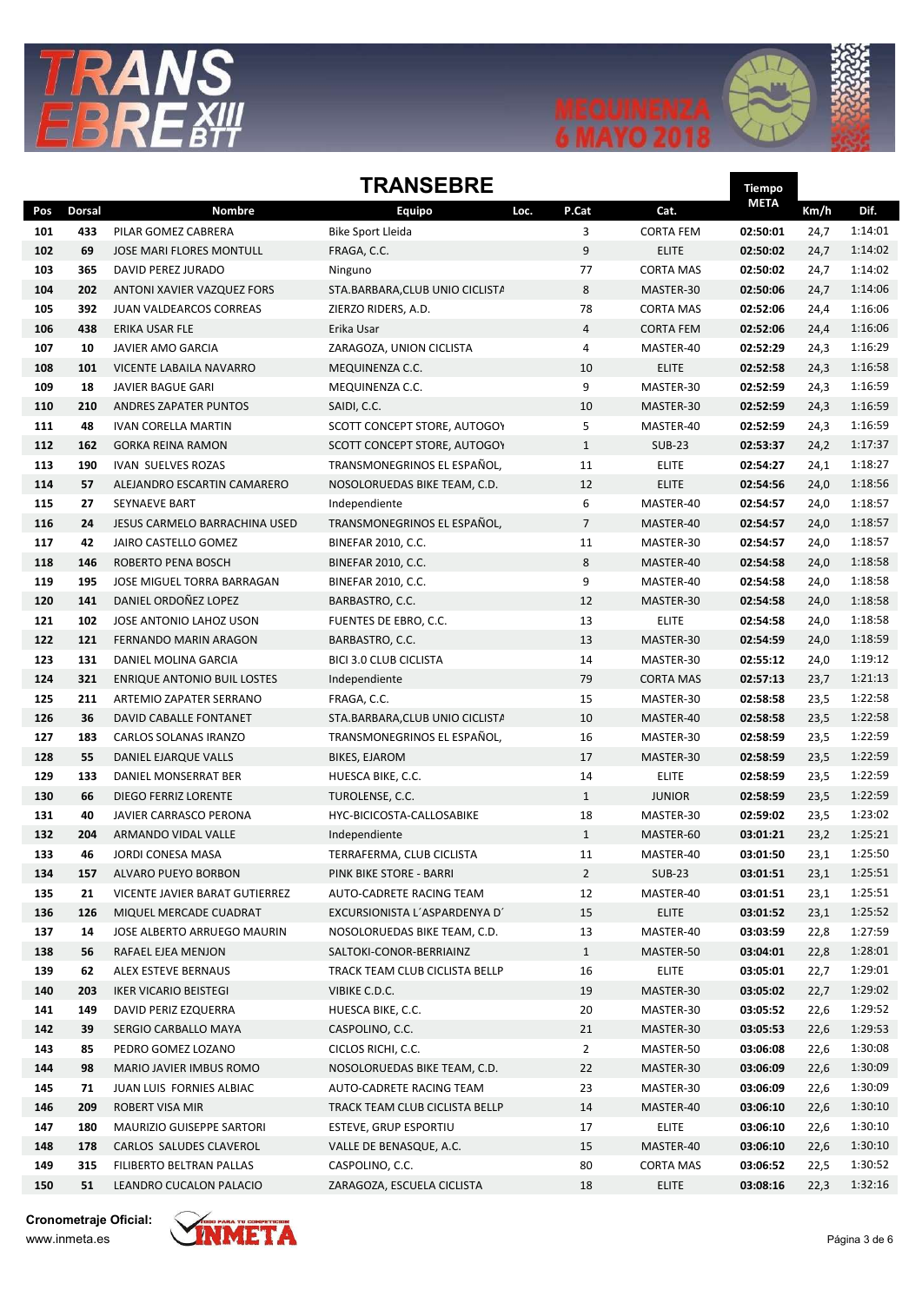





Tiempo

## **TRANSFRRF**

|            |               |                                               |                                            |                |                           | <b>META</b>          |              |                    |
|------------|---------------|-----------------------------------------------|--------------------------------------------|----------------|---------------------------|----------------------|--------------|--------------------|
| Pos        | <b>Dorsal</b> | <b>Nombre</b>                                 | Equipo<br>Loc.                             | P.Cat          | Cat.                      |                      | Km/h         | Dif.               |
| 101        | 433           | PILAR GOMEZ CABRERA                           | Bike Sport Lleida                          | 3              | <b>CORTA FEM</b>          | 02:50:01             | 24,7         | 1:14:01            |
| 102        | 69            | JOSE MARI FLORES MONTULL                      | FRAGA, C.C.                                | 9              | <b>ELITE</b>              | 02:50:02             | 24,7         | 1:14:02            |
| 103        | 365           | DAVID PEREZ JURADO                            | Ninguno                                    | 77             | <b>CORTA MAS</b>          | 02:50:02             | 24,7         | 1:14:02            |
| 104        | 202           | ANTONI XAVIER VAZQUEZ FORS                    | STA.BARBARA, CLUB UNIO CICLISTA            | 8              | MASTER-30                 | 02:50:06             | 24,7         | 1:14:06            |
| 105        | 392           | JUAN VALDEARCOS CORREAS                       | ZIERZO RIDERS, A.D.                        | 78             | <b>CORTA MAS</b>          | 02:52:06             | 24,4         | 1:16:06            |
| 106        | 438           | <b>ERIKA USAR FLE</b>                         | Erika Usar                                 | 4              | <b>CORTA FEM</b>          | 02:52:06             | 24,4         | 1:16:06            |
| 107        | 10            | JAVIER AMO GARCIA                             | ZARAGOZA, UNION CICLISTA                   | 4              | MASTER-40                 | 02:52:29             | 24,3         | 1:16:29            |
| 108        | 101           | VICENTE LABAILA NAVARRO                       | MEQUINENZA C.C.                            | 10             | <b>ELITE</b>              | 02:52:58             | 24,3         | 1:16:58            |
| 109        | 18            | <b>JAVIER BAGUE GARI</b>                      | MEQUINENZA C.C.                            | 9              | MASTER-30                 | 02:52:59             | 24,3         | 1:16:59            |
| 110        | 210           | <b>ANDRES ZAPATER PUNTOS</b>                  | SAIDI, C.C.                                | 10             | MASTER-30                 | 02:52:59             | 24,3         | 1:16:59            |
| 111        | 48            | IVAN CORELLA MARTIN                           | SCOTT CONCEPT STORE, AUTOGOY               | 5              | MASTER-40                 | 02:52:59             | 24,3         | 1:16:59            |
| 112        | 162           | <b>GORKA REINA RAMON</b>                      | SCOTT CONCEPT STORE, AUTOGOY               | $\mathbf{1}$   | <b>SUB-23</b>             | 02:53:37             | 24,2         | 1:17:37            |
| 113        | 190           | <b>IVAN SUELVES ROZAS</b>                     | TRANSMONEGRINOS EL ESPAÑOL,                | 11             | <b>ELITE</b>              | 02:54:27             | 24,1         | 1:18:27            |
| 114        | 57            | ALEJANDRO ESCARTIN CAMARERO                   | NOSOLORUEDAS BIKE TEAM, C.D.               | 12             | <b>ELITE</b>              | 02:54:56             | 24,0         | 1:18:56            |
| 115        | 27            | <b>SEYNAEVE BART</b>                          | Independiente                              | 6              | MASTER-40                 | 02:54:57             | 24,0         | 1:18:57            |
| 116        | 24            | JESUS CARMELO BARRACHINA USED                 | TRANSMONEGRINOS EL ESPAÑOL,                | $\overline{7}$ | MASTER-40                 | 02:54:57             | 24,0         | 1:18:57            |
| 117        | 42            | JAIRO CASTELLO GOMEZ                          | <b>BINEFAR 2010, C.C.</b>                  | 11             | MASTER-30                 | 02:54:57             | 24,0         | 1:18:57            |
| 118        | 146           | ROBERTO PENA BOSCH                            | <b>BINEFAR 2010, C.C.</b>                  | 8              | MASTER-40                 | 02:54:58             | 24,0         | 1:18:58            |
| 119        | 195           | JOSE MIGUEL TORRA BARRAGAN                    | <b>BINEFAR 2010, C.C.</b>                  | 9              | MASTER-40                 | 02:54:58             | 24,0         | 1:18:58            |
| 120        | 141           | DANIEL ORDOÑEZ LOPEZ                          | BARBASTRO, C.C.                            | 12             | MASTER-30                 | 02:54:58             | 24,0         | 1:18:58            |
| 121        | 102           | JOSE ANTONIO LAHOZ USON                       | FUENTES DE EBRO, C.C.                      | 13             | <b>ELITE</b>              | 02:54:58             | 24,0         | 1:18:58            |
| 122        | 121           | <b>FERNANDO MARIN ARAGON</b>                  | BARBASTRO, C.C.                            | 13             | MASTER-30                 | 02:54:59             | 24,0         | 1:18:59            |
| 123        | 131           | DANIEL MOLINA GARCIA                          | <b>BICI 3.0 CLUB CICLISTA</b>              | 14             | MASTER-30                 | 02:55:12             | 24,0         | 1:19:12            |
| 124<br>125 | 321<br>211    | <b>ENRIQUE ANTONIO BUIL LOSTES</b>            | Independiente                              | 79             | <b>CORTA MAS</b>          | 02:57:13             | 23,7         | 1:21:13<br>1:22:58 |
| 126        |               | ARTEMIO ZAPATER SERRANO                       | FRAGA, C.C.                                | 15<br>10       | MASTER-30                 | 02:58:58             | 23,5         | 1:22:58            |
| 127        | 36<br>183     | DAVID CABALLE FONTANET                        | STA.BARBARA, CLUB UNIO CICLISTA            |                | MASTER-40                 | 02:58:58             | 23,5         | 1:22:59            |
|            |               | CARLOS SOLANAS IRANZO                         | TRANSMONEGRINOS EL ESPAÑOL,                | 16             | MASTER-30                 | 02:58:59             | 23,5         |                    |
| 128<br>129 | 55<br>133     | DANIEL EJARQUE VALLS<br>DANIEL MONSERRAT BER  | <b>BIKES, EJAROM</b><br>HUESCA BIKE, C.C.  | 17<br>14       | MASTER-30<br><b>ELITE</b> | 02:58:59<br>02:58:59 | 23,5<br>23,5 | 1:22:59<br>1:22:59 |
| 130        | 66            | DIEGO FERRIZ LORENTE                          | TUROLENSE, C.C.                            | $\mathbf{1}$   | <b>JUNIOR</b>             | 02:58:59             | 23,5         | 1:22:59            |
| 131        | 40            |                                               |                                            | 18             | MASTER-30                 | 02:59:02             | 23,5         | 1:23:02            |
| 132        | 204           | JAVIER CARRASCO PERONA<br>ARMANDO VIDAL VALLE | HYC-BICICOSTA-CALLOSABIKE<br>Independiente | $\mathbf{1}$   | MASTER-60                 | 03:01:21             | 23,2         | 1:25:21            |
| 133        | 46            | <b>JORDI CONESA MASA</b>                      | TERRAFERMA, CLUB CICLISTA                  | 11             | MASTER-40                 | 03:01:50             | 23,1         | 1:25:50            |
| 134        | 157           | ALVARO PUEYO BORBON                           | PINK BIKE STORE - BARRI                    | $\overline{2}$ | $SUB-23$                  | 03:01:51             | 23,1         | 1:25:51            |
| 135        | 21            | VICENTE JAVIER BARAT GUTIERREZ                | AUTO-CADRETE RACING TEAM                   | 12             | MASTER-40                 | 03:01:51             | 23,1         | 1:25:51            |
| 136        | 126           | MIQUEL MERCADE CUADRAT                        | EXCURSIONISTA L'ASPARDENYA D'              | 15             | <b>ELITE</b>              | 03:01:52             | 23,1         | 1:25:52            |
| 137        | 14            | JOSE ALBERTO ARRUEGO MAURIN                   | NOSOLORUEDAS BIKE TEAM, C.D.               | 13             | MASTER-40                 | 03:03:59             | 22,8         | 1:27:59            |
| 138        | 56            | RAFAEL EJEA MENJON                            | SALTOKI-CONOR-BERRIAINZ                    | $\mathbf{1}$   | MASTER-50                 | 03:04:01             | 22,8         | 1:28:01            |
| 139        | 62            | ALEX ESTEVE BERNAUS                           | TRACK TEAM CLUB CICLISTA BELLP             | 16             | <b>ELITE</b>              | 03:05:01             | 22,7         | 1:29:01            |
| 140        | 203           | <b>IKER VICARIO BEISTEGI</b>                  | VIBIKE C.D.C.                              | 19             | MASTER-30                 | 03:05:02             | 22,7         | 1:29:02            |
| 141        | 149           | DAVID PERIZ EZQUERRA                          | HUESCA BIKE, C.C.                          | 20             | MASTER-30                 | 03:05:52             | 22,6         | 1:29:52            |
| 142        | 39            | SERGIO CARBALLO MAYA                          | CASPOLINO, C.C.                            | 21             | MASTER-30                 | 03:05:53             | 22,6         | 1:29:53            |
| 143        | 85            | PEDRO GOMEZ LOZANO                            | CICLOS RICHI, C.C.                         | $\overline{2}$ | MASTER-50                 | 03:06:08             | 22,6         | 1:30:08            |
| 144        | 98            | MARIO JAVIER IMBUS ROMO                       | NOSOLORUEDAS BIKE TEAM, C.D.               | 22             | MASTER-30                 | 03:06:09             | 22,6         | 1:30:09            |
| 145        | 71            | JUAN LUIS FORNIES ALBIAC                      | AUTO-CADRETE RACING TEAM                   | 23             | MASTER-30                 | 03:06:09             | 22,6         | 1:30:09            |
| 146        | 209           | ROBERT VISA MIR                               | TRACK TEAM CLUB CICLISTA BELLP             | 14             | MASTER-40                 | 03:06:10             | 22,6         | 1:30:10            |
| 147        | 180           | MAURIZIO GUISEPPE SARTORI                     | ESTEVE, GRUP ESPORTIU                      | 17             | <b>ELITE</b>              | 03:06:10             | 22,6         | 1:30:10            |
| 148        | 178           | CARLOS SALUDES CLAVEROL                       | VALLE DE BENASQUE, A.C.                    | 15             | MASTER-40                 | 03:06:10             | 22,6         | 1:30:10            |
| 149        | 315           | FILIBERTO BELTRAN PALLAS                      | CASPOLINO, C.C.                            | 80             | <b>CORTA MAS</b>          | 03:06:52             | 22,5         | 1:30:52            |
| 150        | 51            | LEANDRO CUCALON PALACIO                       | ZARAGOZA, ESCUELA CICLISTA                 | 18             | ELITE                     | 03:08:16             | 22,3         | 1:32:16            |
|            |               |                                               |                                            |                |                           |                      |              |                    |

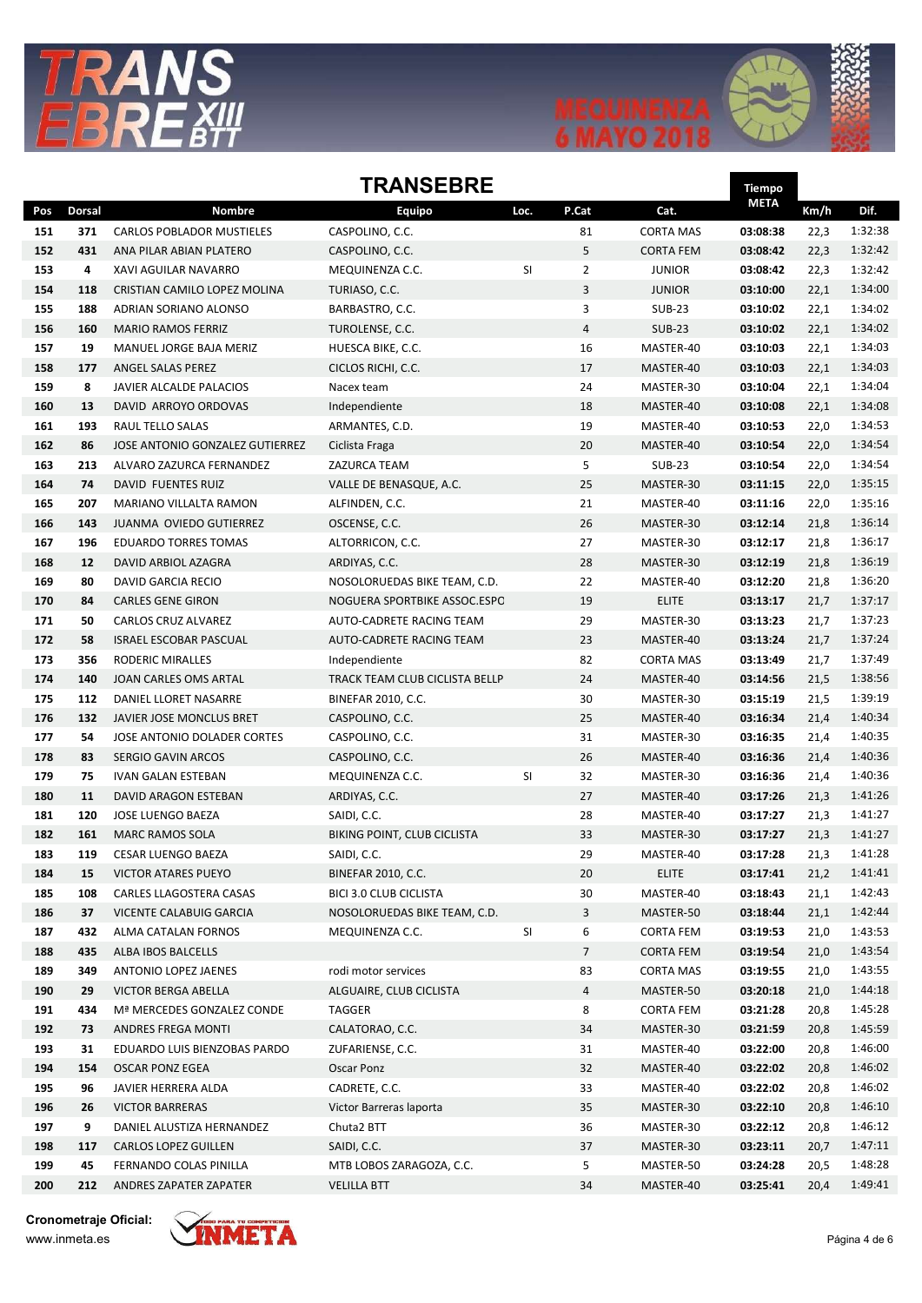





Tiempo

#### **TRANSFRRF**

|     |        |                                  |                                |      |                |                  | nempo<br><b>META</b> |      |         |
|-----|--------|----------------------------------|--------------------------------|------|----------------|------------------|----------------------|------|---------|
| Pos | Dorsal | <b>Nombre</b>                    | Equipo                         | Loc. | P.Cat          | Cat.             |                      | Km/h | Dif.    |
| 151 | 371    | <b>CARLOS POBLADOR MUSTIELES</b> | CASPOLINO, C.C.                |      | 81             | <b>CORTA MAS</b> | 03:08:38             | 22,3 | 1:32:38 |
| 152 | 431    | ANA PILAR ABIAN PLATERO          | CASPOLINO, C.C.                |      | 5              | <b>CORTA FEM</b> | 03:08:42             | 22,3 | 1:32:42 |
| 153 | 4      | XAVI AGUILAR NAVARRO             | MEQUINENZA C.C.                | SI   | $\overline{2}$ | <b>JUNIOR</b>    | 03:08:42             | 22,3 | 1:32:42 |
| 154 | 118    | CRISTIAN CAMILO LOPEZ MOLINA     | TURIASO, C.C.                  |      | 3              | <b>JUNIOR</b>    | 03:10:00             | 22,1 | 1:34:00 |
| 155 | 188    | ADRIAN SORIANO ALONSO            | BARBASTRO, C.C.                |      | 3              | <b>SUB-23</b>    | 03:10:02             | 22,1 | 1:34:02 |
| 156 | 160    | <b>MARIO RAMOS FERRIZ</b>        | TUROLENSE, C.C.                |      | $\overline{4}$ | <b>SUB-23</b>    | 03:10:02             | 22,1 | 1:34:02 |
| 157 | 19     | MANUEL JORGE BAJA MERIZ          | HUESCA BIKE, C.C.              |      | 16             | MASTER-40        | 03:10:03             | 22,1 | 1:34:03 |
| 158 | 177    | ANGEL SALAS PEREZ                | CICLOS RICHI, C.C.             |      | 17             | MASTER-40        | 03:10:03             | 22,1 | 1:34:03 |
| 159 | 8      | JAVIER ALCALDE PALACIOS          | Nacex team                     |      | 24             | MASTER-30        | 03:10:04             | 22,1 | 1:34:04 |
| 160 | 13     | DAVID ARROYO ORDOVAS             | Independiente                  |      | 18             | MASTER-40        | 03:10:08             | 22,1 | 1:34:08 |
| 161 | 193    | RAUL TELLO SALAS                 | ARMANTES, C.D.                 |      | 19             | MASTER-40        | 03:10:53             | 22,0 | 1:34:53 |
| 162 | 86     | JOSE ANTONIO GONZALEZ GUTIERREZ  | Ciclista Fraga                 |      | 20             | MASTER-40        | 03:10:54             | 22,0 | 1:34:54 |
| 163 | 213    | ALVARO ZAZURCA FERNANDEZ         | ZAZURCA TEAM                   |      | 5              | <b>SUB-23</b>    | 03:10:54             | 22,0 | 1:34:54 |
| 164 | 74     | DAVID FUENTES RUIZ               | VALLE DE BENASQUE, A.C.        |      | 25             | MASTER-30        | 03:11:15             | 22,0 | 1:35:15 |
| 165 | 207    | <b>MARIANO VILLALTA RAMON</b>    | ALFINDEN, C.C.                 |      | 21             | MASTER-40        | 03:11:16             | 22,0 | 1:35:16 |
| 166 | 143    | JUANMA OVIEDO GUTIERREZ          | OSCENSE, C.C.                  |      | 26             | MASTER-30        | 03:12:14             | 21,8 | 1:36:14 |
| 167 | 196    | EDUARDO TORRES TOMAS             | ALTORRICON, C.C.               |      | 27             | MASTER-30        | 03:12:17             | 21,8 | 1:36:17 |
| 168 | 12     | DAVID ARBIOL AZAGRA              | ARDIYAS, C.C.                  |      | 28             | MASTER-30        | 03:12:19             | 21,8 | 1:36:19 |
| 169 | 80     | <b>DAVID GARCIA RECIO</b>        | NOSOLORUEDAS BIKE TEAM, C.D.   |      | 22             | MASTER-40        | 03:12:20             | 21,8 | 1:36:20 |
| 170 | 84     | <b>CARLES GENE GIRON</b>         | NOGUERA SPORTBIKE ASSOC.ESPC   |      | 19             | <b>ELITE</b>     | 03:13:17             | 21,7 | 1:37:17 |
| 171 | 50     | <b>CARLOS CRUZ ALVAREZ</b>       | AUTO-CADRETE RACING TEAM       |      | 29             | MASTER-30        | 03:13:23             | 21,7 | 1:37:23 |
| 172 | 58     | <b>ISRAEL ESCOBAR PASCUAL</b>    | AUTO-CADRETE RACING TEAM       |      | 23             | MASTER-40        | 03:13:24             | 21,7 | 1:37:24 |
| 173 | 356    | RODERIC MIRALLES                 | Independiente                  |      | 82             | <b>CORTA MAS</b> | 03:13:49             | 21,7 | 1:37:49 |
| 174 | 140    | JOAN CARLES OMS ARTAL            | TRACK TEAM CLUB CICLISTA BELLP |      | 24             | MASTER-40        | 03:14:56             | 21,5 | 1:38:56 |
| 175 | 112    | DANIEL LLORET NASARRE            | <b>BINEFAR 2010, C.C.</b>      |      | 30             | MASTER-30        | 03:15:19             | 21,5 | 1:39:19 |
| 176 | 132    | JAVIER JOSE MONCLUS BRET         | CASPOLINO, C.C.                |      | 25             | MASTER-40        | 03:16:34             | 21,4 | 1:40:34 |
| 177 | 54     | JOSE ANTONIO DOLADER CORTES      | CASPOLINO, C.C.                |      | 31             | MASTER-30        | 03:16:35             | 21,4 | 1:40:35 |
| 178 | 83     | SERGIO GAVIN ARCOS               | CASPOLINO, C.C.                |      | 26             | MASTER-40        | 03:16:36             | 21,4 | 1:40:36 |
| 179 | 75     | <b>IVAN GALAN ESTEBAN</b>        | MEQUINENZA C.C.                | SI   | 32             | MASTER-30        | 03:16:36             | 21,4 | 1:40:36 |
| 180 | 11     | DAVID ARAGON ESTEBAN             | ARDIYAS, C.C.                  |      | 27             | MASTER-40        | 03:17:26             | 21,3 | 1:41:26 |
| 181 | 120    | JOSE LUENGO BAEZA                | SAIDI, C.C.                    |      | 28             | MASTER-40        | 03:17:27             | 21,3 | 1:41:27 |
| 182 | 161    | <b>MARC RAMOS SOLA</b>           | BIKING POINT, CLUB CICLISTA    |      | 33             | MASTER-30        | 03:17:27             | 21,3 | 1:41:27 |
| 183 | 119    | <b>CESAR LUENGO BAEZA</b>        | SAIDI, C.C.                    |      | 29             | MASTER-40        | 03:17:28             | 21,3 | 1:41:28 |
| 184 | 15     | <b>VICTOR ATARES PUEYO</b>       | <b>BINEFAR 2010, C.C.</b>      |      | 20             | <b>ELITE</b>     | 03:17:41             | 21,2 | 1:41:41 |
| 185 | 108    | CARLES LLAGOSTERA CASAS          | <b>BICI 3.0 CLUB CICLISTA</b>  |      | 30             | MASTER-40        | 03:18:43             | 21,1 | 1:42:43 |
| 186 | 37     | VICENTE CALABUIG GARCIA          | NOSOLORUEDAS BIKE TEAM, C.D.   |      | 3              | MASTER-50        | 03:18:44             | 21,1 | 1:42:44 |
| 187 | 432    | ALMA CATALAN FORNOS              | MEQUINENZA C.C.                | SI   | 6              | CORTA FEM        | 03:19:53             | 21,0 | 1:43:53 |
| 188 | 435    | ALBA IBOS BALCELLS               |                                |      | $\overline{7}$ | CORTA FEM        | 03:19:54             | 21,0 | 1:43:54 |
| 189 | 349    | ANTONIO LOPEZ JAENES             | rodi motor services            |      | 83             | <b>CORTA MAS</b> | 03:19:55             | 21,0 | 1:43:55 |
| 190 | 29     | VICTOR BERGA ABELLA              | ALGUAIRE, CLUB CICLISTA        |      | $\overline{a}$ | MASTER-50        | 03:20:18             | 21,0 | 1:44:18 |
| 191 | 434    | Mª MERCEDES GONZALEZ CONDE       | TAGGER                         |      | 8              | <b>CORTA FEM</b> | 03:21:28             | 20,8 | 1:45:28 |
| 192 | 73     | ANDRES FREGA MONTI               | CALATORAO, C.C.                |      | 34             | MASTER-30        | 03:21:59             | 20,8 | 1:45:59 |
| 193 | 31     | EDUARDO LUIS BIENZOBAS PARDO     | ZUFARIENSE, C.C.               |      | 31             | MASTER-40        | 03:22:00             | 20,8 | 1:46:00 |
| 194 | 154    | <b>OSCAR PONZ EGEA</b>           | Oscar Ponz                     |      | 32             | MASTER-40        | 03:22:02             | 20,8 | 1:46:02 |
| 195 | 96     | JAVIER HERRERA ALDA              | CADRETE, C.C.                  |      | 33             | MASTER-40        | 03:22:02             | 20,8 | 1:46:02 |
| 196 | 26     | <b>VICTOR BARRERAS</b>           | Victor Barreras laporta        |      | 35             | MASTER-30        | 03:22:10             | 20,8 | 1:46:10 |
| 197 | 9      | DANIEL ALUSTIZA HERNANDEZ        | Chuta2 BTT                     |      | 36             | MASTER-30        | 03:22:12             | 20,8 | 1:46:12 |
| 198 | 117    | <b>CARLOS LOPEZ GUILLEN</b>      | SAIDI, C.C.                    |      | 37             | MASTER-30        | 03:23:11             | 20,7 | 1:47:11 |
| 199 | 45     | FERNANDO COLAS PINILLA           | MTB LOBOS ZARAGOZA, C.C.       |      | 5              | MASTER-50        | 03:24:28             | 20,5 | 1:48:28 |
| 200 | 212    | ANDRES ZAPATER ZAPATER           | <b>VELILLA BTT</b>             |      | 34             | MASTER-40        | 03:25:41             | 20,4 | 1:49:41 |
|     |        |                                  |                                |      |                |                  |                      |      |         |

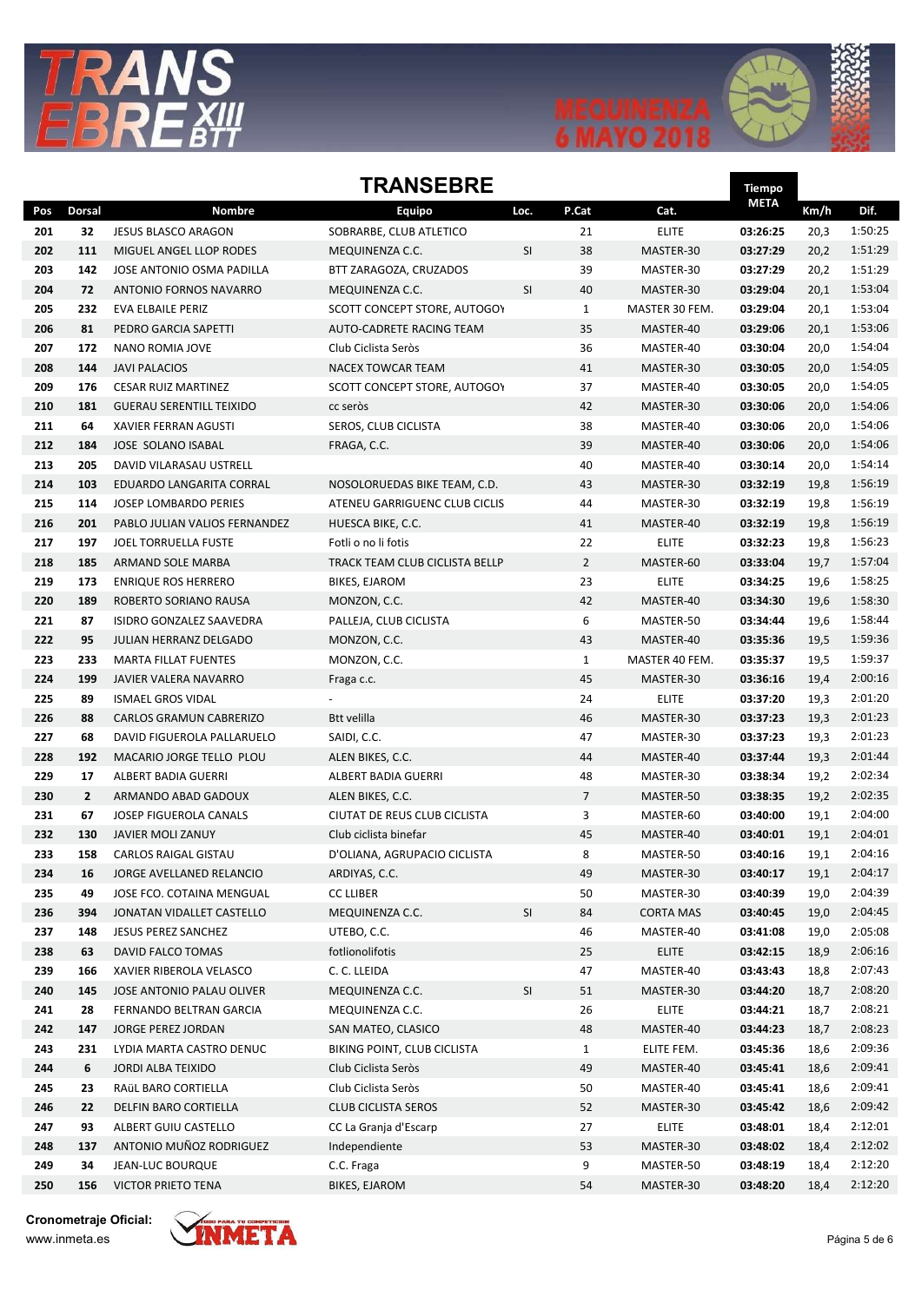





Tiempo

#### **TRANSFRRF**

|            |               |                                                   |                                        |                      |                |                        | <b>META</b>          |              |                    |
|------------|---------------|---------------------------------------------------|----------------------------------------|----------------------|----------------|------------------------|----------------------|--------------|--------------------|
| Pos        | <b>Dorsal</b> | <b>Nombre</b>                                     | Equipo                                 | Loc.                 | P.Cat          | Cat.                   |                      | Km/h         | Dif.               |
| 201        | 32            | <b>JESUS BLASCO ARAGON</b>                        | SOBRARBE, CLUB ATLETICO                |                      | 21             | <b>ELITE</b>           | 03:26:25             | 20,3         | 1:50:25            |
| 202        | 111           | MIGUEL ANGEL LLOP RODES                           | MEQUINENZA C.C.                        | SI                   | 38             | MASTER-30              | 03:27:29             | 20,2         | 1:51:29            |
| 203        | 142           | JOSE ANTONIO OSMA PADILLA                         | BTT ZARAGOZA, CRUZADOS                 |                      | 39             | MASTER-30              | 03:27:29             | 20,2         | 1:51:29            |
| 204        | 72            | ANTONIO FORNOS NAVARRO                            | MEQUINENZA C.C.                        | SI                   | 40             | MASTER-30              | 03:29:04             | 20,1         | 1:53:04            |
| 205        | 232           | EVA ELBAILE PERIZ                                 | SCOTT CONCEPT STORE, AUTOGOY           |                      | $\mathbf{1}$   | MASTER 30 FEM.         | 03:29:04             | 20,1         | 1:53:04            |
| 206        | 81            | PEDRO GARCIA SAPETTI                              | AUTO-CADRETE RACING TEAM               |                      | 35             | MASTER-40              | 03:29:06             | 20,1         | 1:53:06            |
| 207        | 172           | NANO ROMIA JOVE                                   | Club Ciclista Seròs                    |                      | 36             | MASTER-40              | 03:30:04             | 20,0         | 1:54:04            |
| 208        | 144           | <b>JAVI PALACIOS</b>                              | <b>NACEX TOWCAR TEAM</b>               |                      | 41             | MASTER-30              | 03:30:05             | 20,0         | 1:54:05            |
| 209        | 176           | <b>CESAR RUIZ MARTINEZ</b>                        | SCOTT CONCEPT STORE, AUTOGOY           |                      | 37             | MASTER-40              | 03:30:05             | 20,0         | 1:54:05            |
| 210        | 181           | <b>GUERAU SERENTILL TEIXIDO</b>                   | cc seròs                               |                      | 42             | MASTER-30              | 03:30:06             | 20,0         | 1:54:06            |
| 211        | 64            | XAVIER FERRAN AGUSTI                              | SEROS, CLUB CICLISTA                   |                      | 38             | MASTER-40              | 03:30:06             | 20,0         | 1:54:06            |
| 212        | 184           | <b>JOSE SOLANO ISABAL</b>                         | FRAGA, C.C.                            |                      | 39             | MASTER-40              | 03:30:06             | 20,0         | 1:54:06            |
| 213        | 205           | DAVID VILARASAU USTRELL                           |                                        |                      | 40             | MASTER-40              | 03:30:14             | 20,0         | 1:54:14            |
| 214        | 103           | EDUARDO LANGARITA CORRAL                          | NOSOLORUEDAS BIKE TEAM, C.D.           |                      | 43             | MASTER-30              | 03:32:19             | 19,8         | 1:56:19            |
| 215        | 114           | <b>JOSEP LOMBARDO PERIES</b>                      | ATENEU GARRIGUENC CLUB CICLIS          |                      | 44             | MASTER-30              | 03:32:19             | 19,8         | 1:56:19            |
| 216        | 201           | PABLO JULIAN VALIOS FERNANDEZ                     | HUESCA BIKE, C.C.                      |                      | 41             | MASTER-40              | 03:32:19             | 19,8         | 1:56:19            |
| 217        | 197           | JOEL TORRUELLA FUSTE                              | Fotli o no li fotis                    |                      | 22             | <b>ELITE</b>           | 03:32:23             | 19,8         | 1:56:23            |
| 218        | 185           | ARMAND SOLE MARBA                                 | TRACK TEAM CLUB CICLISTA BELLP         |                      | $\overline{2}$ | MASTER-60              | 03:33:04<br>03:34:25 | 19,7         | 1:57:04            |
| 219        | 173           | <b>ENRIQUE ROS HERRERO</b>                        | BIKES, EJAROM                          |                      | 23             | <b>ELITE</b>           |                      | 19,6         | 1:58:25<br>1:58:30 |
| 220        | 189<br>87     | ROBERTO SORIANO RAUSA<br>ISIDRO GONZALEZ SAAVEDRA | MONZON, C.C.<br>PALLEJA, CLUB CICLISTA |                      | 42             | MASTER-40<br>MASTER-50 | 03:34:30             | 19,6         | 1:58:44            |
| 221<br>222 | 95            | <b>JULIAN HERRANZ DELGADO</b>                     |                                        |                      | 6<br>43        | MASTER-40              | 03:34:44             | 19,6<br>19,5 | 1:59:36            |
| 223        | 233           | <b>MARTA FILLAT FUENTES</b>                       | MONZON, C.C.<br>MONZON, C.C.           |                      | $\mathbf{1}$   | MASTER 40 FEM.         | 03:35:36<br>03:35:37 | 19,5         | 1:59:37            |
| 224        | 199           | JAVIER VALERA NAVARRO                             |                                        |                      | 45             | MASTER-30              | 03:36:16             | 19,4         | 2:00:16            |
| 225        | 89            | <b>ISMAEL GROS VIDAL</b>                          | Fraga c.c.                             |                      | 24             | <b>ELITE</b>           | 03:37:20             | 19,3         | 2:01:20            |
| 226        | 88            | <b>CARLOS GRAMUN CABRERIZO</b>                    | <b>Btt velilla</b>                     |                      | 46             | MASTER-30              | 03:37:23             | 19,3         | 2:01:23            |
| 227        | 68            | DAVID FIGUEROLA PALLARUELO                        | SAIDI, C.C.                            |                      | 47             | MASTER-30              | 03:37:23             | 19,3         | 2:01:23            |
| 228        | 192           | MACARIO JORGE TELLO PLOU                          | ALEN BIKES, C.C.                       |                      | 44             | MASTER-40              | 03:37:44             | 19,3         | 2:01:44            |
| 229        | 17            | ALBERT BADIA GUERRI                               | ALBERT BADIA GUERRI                    |                      | 48             | MASTER-30              | 03:38:34             | 19,2         | 2:02:34            |
| 230        | $\mathbf{2}$  | ARMANDO ABAD GADOUX                               | ALEN BIKES, C.C.                       |                      | $\overline{7}$ | MASTER-50              | 03:38:35             | 19,2         | 2:02:35            |
| 231        | 67            | JOSEP FIGUEROLA CANALS                            | CIUTAT DE REUS CLUB CICLISTA           |                      | 3              | MASTER-60              | 03:40:00             | 19,1         | 2:04:00            |
| 232        | 130           | <b>JAVIER MOLI ZANUY</b>                          | Club ciclista binefar                  |                      | 45             | MASTER-40              | 03:40:01             | 19,1         | 2:04:01            |
| 233        | 158           | CARLOS RAIGAL GISTAU                              | D'OLIANA, AGRUPACIO CICLISTA           |                      | 8              | MASTER-50              | 03:40:16             | 19,1         | 2:04:16            |
| 234        | 16            | JORGE AVELLANED RELANCIO                          | ARDIYAS, C.C.                          |                      | 49             | MASTER-30              | 03:40:17             | 19,1         | 2:04:17            |
| 235        | 49            | JOSE FCO. COTAINA MENGUAL                         | <b>CC LLIBER</b>                       |                      | 50             | MASTER-30              | 03:40:39             | 19,0         | 2:04:39            |
| 236        | 394           | JONATAN VIDALLET CASTELLO                         | MEQUINENZA C.C.                        | $\mathsf{SI}\xspace$ | 84             | <b>CORTA MAS</b>       | 03:40:45             | 19,0         | 2:04:45            |
| 237        | 148           | <b>JESUS PEREZ SANCHEZ</b>                        | UTEBO, C.C.                            |                      | 46             | MASTER-40              | 03:41:08             | 19,0         | 2:05:08            |
| 238        | 63            | DAVID FALCO TOMAS                                 | fotlionolifotis                        |                      | 25             | <b>ELITE</b>           | 03:42:15             | 18,9         | 2:06:16            |
| 239        | 166           | XAVIER RIBEROLA VELASCO                           | C. C. LLEIDA                           |                      | 47             | MASTER-40              | 03:43:43             | 18,8         | 2:07:43            |
| 240        | 145           | JOSE ANTONIO PALAU OLIVER                         | MEQUINENZA C.C.                        | SI                   | 51             | MASTER-30              | 03:44:20             | 18,7         | 2:08:20            |
| 241        | 28            | FERNANDO BELTRAN GARCIA                           | MEQUINENZA C.C.                        |                      | 26             | <b>ELITE</b>           | 03:44:21             | 18,7         | 2:08:21            |
| 242        | 147           | JORGE PEREZ JORDAN                                | SAN MATEO, CLASICO                     |                      | 48             | MASTER-40              | 03:44:23             | 18,7         | 2:08:23            |
| 243        | 231           | LYDIA MARTA CASTRO DENUC                          | BIKING POINT, CLUB CICLISTA            |                      | $\mathbf{1}$   | ELITE FEM.             | 03:45:36             | 18,6         | 2:09:36            |
| 244        | 6             | <b>JORDI ALBA TEIXIDO</b>                         | Club Ciclista Seròs                    |                      | 49             | MASTER-40              | 03:45:41             | 18,6         | 2:09:41            |
| 245        | 23            | RAÜL BARO CORTIELLA                               | Club Ciclista Seròs                    |                      | 50             | MASTER-40              | 03:45:41             | 18,6         | 2:09:41            |
| 246        | 22            | DELFIN BARO CORTIELLA                             | <b>CLUB CICLISTA SEROS</b>             |                      | 52             | MASTER-30              | 03:45:42             | 18,6         | 2:09:42            |
| 247        | 93            | ALBERT GUIU CASTELLO                              | CC La Granja d'Escarp                  |                      | 27             | <b>ELITE</b>           | 03:48:01             | 18,4         | 2:12:01            |
| 248        | 137           | ANTONIO MUÑOZ RODRIGUEZ                           | Independiente                          |                      | 53             | MASTER-30              | 03:48:02             | 18,4         | 2:12:02            |
| 249        | 34            | JEAN-LUC BOURQUE                                  | C.C. Fraga                             |                      | 9              | MASTER-50              | 03:48:19             | 18,4         | 2:12:20            |
| 250        | 156           | <b>VICTOR PRIETO TENA</b>                         | BIKES, EJAROM                          |                      | 54             | MASTER-30              | 03:48:20             | 18,4         | 2:12:20            |
|            |               |                                                   |                                        |                      |                |                        |                      |              |                    |